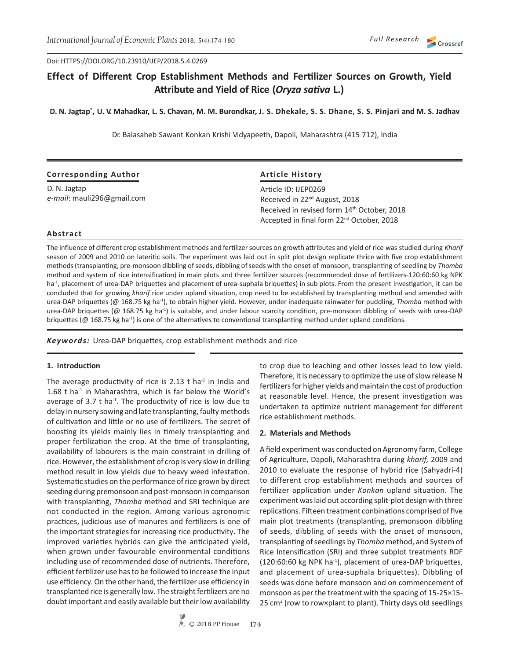Doi: HTTPS://DOI.ORG/10.23910/IJEP/2018.5.4.0269

# **Effect of Different Crop Establishment Methods and Fertilizer Sources on Growth, Yield Attribute and Yield of Rice (***Oryza sativa* **L.)**

**D. N. Jagtap\* , U. V. Mahadkar, L. S. Chavan, M. M. Burondkar, J. S. Dhekale, S. S. Dhane, S. S. Pinjari and M. S. Jadhav**

Dr. Balasaheb Sawant Konkan Krishi Vidyapeeth, Dapoli, Maharashtra (415 712), India

| <b>Corresponding Author</b> | <b>Article History</b>                                |
|-----------------------------|-------------------------------------------------------|
| D. N. Jagtap                | Article ID: IJEP0269                                  |
| e-mail: mauli296@gmail.com  | Received in 22 <sup>nd</sup> August, 2018             |
|                             | Received in revised form 14th October, 2018           |
|                             | Accepted in final form 22 <sup>nd</sup> October, 2018 |

## **Abstract**

The influence of different crop establishment methods and fertilizer sources on growth attributes and yield of rice was studied during *Kharif*  season of 2009 and 2010 on lateritic soils. The experiment was laid out in split plot design replicate thrice with five crop establishment methods (transplanting, pre-monsoon dibbling of seeds, dibbling of seeds with the onset of monsoon, transplanting of seedling by *Thomba*  method and system of rice intensification) in main plots and three fertilizer sources (recommended dose of fertilizers-120:60:60 kg NPK ha<sup>-1</sup>, placement of urea-DAP briquettes and placement of urea-suphala briquettes) in sub plots. From the present investigation, it can be concluded that for growing *kharif* rice under upland situation, crop need to be established by transplanting method and amended with urea-DAP briquettes (@ 168.75 kg ha-1), to obtain higher yield. However, under inadequate rainwater for puddling, *Thomba* method with urea-DAP briquettes (@ 168.75 kg ha<sup>-1</sup>) is suitable, and under labour scarcity condition, pre-monsoon dibbling of seeds with urea-DAP briquettes ( $@$  168.75 kg ha<sup>-1</sup>) is one of the alternatives to conventional transplanting method under upland conditions.

*Keywords:* Urea-DAP briquettes, crop establishment methods and rice

### **1. Introduction**

The average productivity of rice is 2.13 t ha<sup>-1</sup> in India and 1.68 t ha $^{-1}$  in Maharashtra, which is far below the World's average of 3.7  $t$  ha<sup>-1</sup>. The productivity of rice is low due to delay in nursery sowing and late transplanting, faulty methods of cultivation and little or no use of fertilizers. The secret of boosting its yields mainly lies in timely transplanting and proper fertilization the crop. At the time of transplanting, availability of labourers is the main constraint in drilling of rice. However, the establishment of crop is very slow in drilling method result in low yields due to heavy weed infestation. Systematic studies on the performance of rice grown by direct seeding during premonsoon and post-monsoon in comparison with transplanting, *Thomba* method and SRI technique are not conducted in the region. Among various agronomic practices, judicious use of manures and fertilizers is one of the important strategies for increasing rice productivity. The improved varieties hybrids can give the anticipated yield, when grown under favourable environmental conditions including use of recommended dose of nutrients. Therefore, efficient fertilizer use has to be followed to increase the input use efficiency. On the other hand, the fertilizer use efficiency in transplanted rice is generally low. The straight fertilizers are no doubt important and easily available but their low availability

to crop due to leaching and other losses lead to low yield. Therefore, it is necessary to optimize the use of slow release N fertilizers for higher yields and maintain the cost of production at reasonable level. Hence, the present investigation was undertaken to optimize nutrient management for different rice establishment methods.

### **2. Materials and Methods**

A field experiment was conducted on Agronomy farm, College of Agriculture, Dapoli, Maharashtra during *kharif,* 2009 and 2010 to evaluate the response of hybrid rice (Sahyadri-4) to different crop establishment methods and sources of fertilizer application under *Konkan* upland situation. The experiment was laid out according split-plot design with three replications. Fifteen treatment conbinations comprised of five main plot treatments (transplanting, premonsoon dibbling of seeds, dibbling of seeds with the onset of monsoon, transplanting of seedlings by *Thomba* method, and System of Rice Intensification (SRI) and three subplot treatments RDF (120:60:60 kg NPK ha-1), placement of urea-DAP briquettes, and placement of urea-suphala briquettes). Dibbling of seeds was done before monsoon and on commencement of monsoon as per the treatment with the spacing of 15-25×15- 25 cm<sup>2</sup> (row to row×plant to plant). Thirty days old seedlings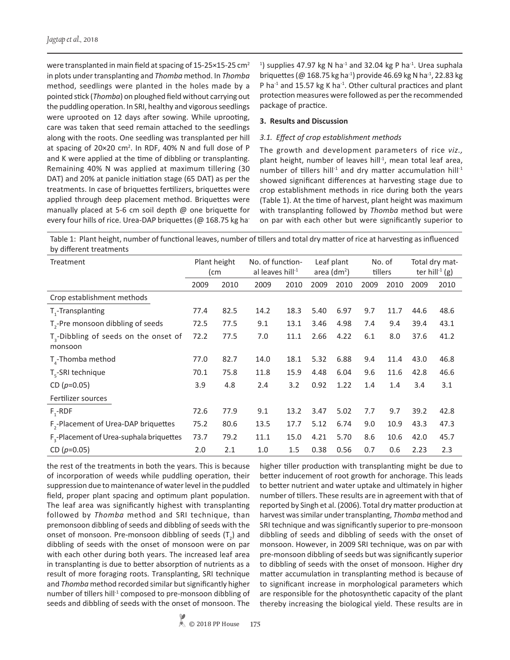were transplanted in main field at spacing of 15-25×15-25 cm<sup>2</sup> in plots under transplanting and *Thomba* method. In *Thomba*  method, seedlings were planted in the holes made by a pointed stick (*Thomba*) on ploughed field without carrying out the puddling operation. In SRI, healthy and vigorous seedlings were uprooted on 12 days after sowing. While uprooting, care was taken that seed remain attached to the seedlings along with the roots. One seedling was transplanted per hill at spacing of  $20 \times 20$  cm<sup>2</sup>. In RDF, 40% N and full dose of P and K were applied at the time of dibbling or transplanting. Remaining 40% N was applied at maximum tillering (30 DAT) and 20% at panicle initiation stage (65 DAT) as per the treatments. In case of briquettes fertilizers, briquettes were applied through deep placement method. Briquettes were manually placed at 5-6 cm soil depth @ one briquette for every four hills of rice. Urea-DAP briquettes (@ 168.75 kg ha-

<sup>1</sup>) supplies 47.97 kg N ha<sup>-1</sup> and 32.04 kg P ha<sup>-1</sup>. Urea suphala briquettes (@ 168.75 kg ha<sup>-1</sup>) provide 46.69 kg N ha<sup>-1</sup>, 22.83 kg P ha<sup>-1</sup> and 15.57 kg K ha<sup>-1</sup>. Other cultural practices and plant protection measures were followed as per the recommended package of practice.

## **3. Results and Discussion**

## *3.1. Effect of crop establishment methods*

The growth and development parameters of rice *viz.,*  plant height, number of leaves hill<sup>-1</sup>, mean total leaf area, number of tillers hill<sup>-1</sup> and dry matter accumulation hill<sup>-1</sup> showed significant differences at harvesting stage due to crop establishment methods in rice during both the years (Table 1). At the time of harvest, plant height was maximum with transplanting followed by *Thomba* method but were on par with each other but were significantly superior to

Table 1: Plant height, number of functional leaves, number of tillers and total dry matter of rice at harvesting as influenced by different treatments

| Treatment                                                    | Plant height<br>(cm |      | No. of function-<br>al leaves hill <sup>-1</sup> |      | Leaf plant<br>area (dm <sup>2</sup> ) |      | No. of<br>tillers |      | Total dry mat-<br>ter hill $(g)$ |      |
|--------------------------------------------------------------|---------------------|------|--------------------------------------------------|------|---------------------------------------|------|-------------------|------|----------------------------------|------|
|                                                              | 2009                | 2010 | 2009                                             | 2010 | 2009                                  | 2010 | 2009              | 2010 | 2009                             | 2010 |
| Crop establishment methods                                   |                     |      |                                                  |      |                                       |      |                   |      |                                  |      |
| T <sub>1</sub> -Transplanting                                | 77.4                | 82.5 | 14.2                                             | 18.3 | 5.40                                  | 6.97 | 9.7               | 11.7 | 44.6                             | 48.6 |
| T <sub>2</sub> -Pre monsoon dibbling of seeds                | 72.5                | 77.5 | 9.1                                              | 13.1 | 3.46                                  | 4.98 | 7.4               | 9.4  | 39.4                             | 43.1 |
| T <sub>2</sub> -Dibbling of seeds on the onset of<br>monsoon | 72.2                | 77.5 | 7.0                                              | 11.1 | 2.66                                  | 4.22 | 6.1               | 8.0  | 37.6                             | 41.2 |
| $T_{\text{A}}$ -Thomba method                                | 77.0                | 82.7 | 14.0                                             | 18.1 | 5.32                                  | 6.88 | 9.4               | 11.4 | 43.0                             | 46.8 |
| $T_c$ -SRI technique                                         | 70.1                | 75.8 | 11.8                                             | 15.9 | 4.48                                  | 6.04 | 9.6               | 11.6 | 42.8                             | 46.6 |
| CD ( $p=0.05$ )                                              | 3.9                 | 4.8  | 2.4                                              | 3.2  | 0.92                                  | 1.22 | 1.4               | 1.4  | 3.4                              | 3.1  |
| Fertilizer sources                                           |                     |      |                                                  |      |                                       |      |                   |      |                                  |      |
| $F - RDF$                                                    | 72.6                | 77.9 | 9.1                                              | 13.2 | 3.47                                  | 5.02 | 7.7               | 9.7  | 39.2                             | 42.8 |
| F <sub>2</sub> -Placement of Urea-DAP briquettes             | 75.2                | 80.6 | 13.5                                             | 17.7 | 5.12                                  | 6.74 | 9.0               | 10.9 | 43.3                             | 47.3 |
| F <sub>2</sub> -Placement of Urea-suphala briquettes         | 73.7                | 79.2 | 11.1                                             | 15.0 | 4.21                                  | 5.70 | 8.6               | 10.6 | 42.0                             | 45.7 |
| CD ( $p=0.05$ )                                              | 2.0                 | 2.1  | 1.0                                              | 1.5  | 0.38                                  | 0.56 | 0.7               | 0.6  | 2.23                             | 2.3  |

the rest of the treatments in both the years. This is because of incorporation of weeds while puddling operation, their suppression due to maintenance of water level in the puddled field, proper plant spacing and optimum plant population. The leaf area was significantly highest with transplanting followed by *Thomba* method and SRI technique, than premonsoon dibbling of seeds and dibbling of seeds with the onset of monsoon. Pre-monsoon dibbling of seeds  $(T_2)$  and dibbling of seeds with the onset of monsoon were on par with each other during both years. The increased leaf area in transplanting is due to better absorption of nutrients as a result of more foraging roots. Transplanting, SRI technique and *Thomba* method recorded similar but significantly higher number of tillers hill<sup>-1</sup> composed to pre-monsoon dibbling of seeds and dibbling of seeds with the onset of monsoon. The

higher tiller production with transplanting might be due to better inducement of root growth for anchorage. This leads to better nutrient and water uptake and ultimately in higher number of tillers. These results are in agreement with that of reported by Singh et al. (2006). Total dry matter production at harvest was similar under transplanting, *Thomba* method and SRI technique and was significantly superior to pre-monsoon dibbling of seeds and dibbling of seeds with the onset of monsoon. However, in 2009 SRI technique, was on par with pre-monsoon dibbling of seeds but was significantly superior to dibbling of seeds with the onset of monsoon. Higher dry matter accumulation in transplanting method is because of to significant increase in morphological parameters which are responsible for the photosynthetic capacity of the plant thereby increasing the biological yield. These results are in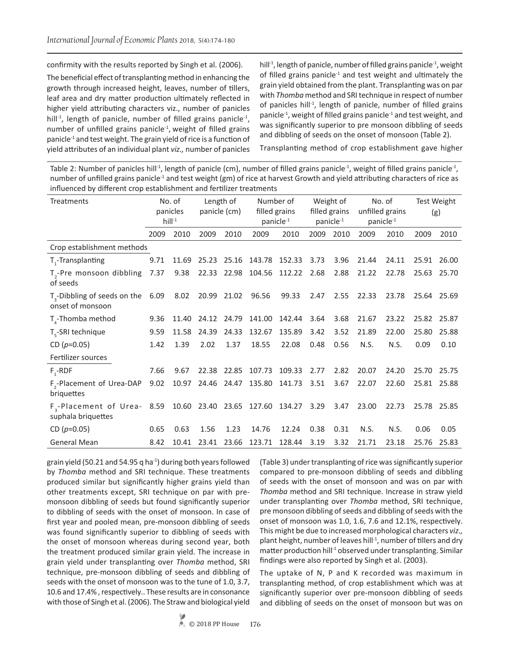confirmity with the results reported by Singh et al. (2006).

The beneficial effect of transplanting method in enhancing the growth through increased height, leaves, number of tillers, leaf area and dry matter production ultimately reflected in higher yield attributing characters viz., number of panicles hill<sup>-1</sup>, length of panicle, number of filled grains panicle<sup>-1</sup>, number of unfilled grains panicle $-1$ , weight of filled grains panicle-1 and test weight. The grain yield of rice is a function of yield attributes of an individual plant *viz.,* number of panicles

hill<sup>-1</sup>, length of panicle, number of filled grains panicle<sup>-1</sup>, weight of filled grains panicle<sup>-1</sup> and test weight and ultimately the grain yield obtained from the plant. Transplanting was on par with *Thomba* method and SRI technique in respect of number of panicles hill<sup>-1</sup>, length of panicle, number of filled grains panicle-1, weight of filled grains panicle-1 and test weight, and was significantly superior to pre monsoon dibbling of seeds and dibbling of seeds on the onset of monsoon (Table 2).

Transplanting method of crop establishment gave higher

Table 2: Number of panicles hill<sup>-1</sup>, length of panicle (cm), number of filled grains panicle<sup>-1</sup>, weight of filled grains panicle<sup>-1</sup>, number of unfilled grains panicle<sup>-1</sup> and test weight (gm) of rice at harvest Growth and yield attributing characters of rice as influenced by different crop establishment and fertilizer treatments

| Treatments                                                    |      | No. of<br>panicles<br>$hill-1$ | Length of<br>panicle (cm) |       | Number of<br>filled grains<br>panicle <sup>-1</sup> |        | Weight of<br>filled grains<br>panicle <sup>-1</sup> |      | No. of<br>unfilled grains<br>panicle <sup>-1</sup> |       | Test Weight<br>(g) |       |
|---------------------------------------------------------------|------|--------------------------------|---------------------------|-------|-----------------------------------------------------|--------|-----------------------------------------------------|------|----------------------------------------------------|-------|--------------------|-------|
|                                                               | 2009 | 2010                           | 2009                      | 2010  | 2009                                                | 2010   | 2009                                                | 2010 | 2009                                               | 2010  | 2009               | 2010  |
| Crop establishment methods                                    |      |                                |                           |       |                                                     |        |                                                     |      |                                                    |       |                    |       |
| T <sub>1</sub> -Transplanting                                 | 9.71 | 11.69                          | 25.23                     | 25.16 | 143.78                                              | 152.33 | 3.73                                                | 3.96 | 21.44                                              | 24.11 | 25.91              | 26.00 |
| T <sub>3</sub> -Pre monsoon dibbling<br>of seeds              | 7.37 | 9.38                           | 22.33                     | 22.98 | 104.56                                              | 112.22 | 2.68                                                | 2.88 | 21.22                                              | 22.78 | 25.63              | 25.70 |
| $T2$ -Dibbling of seeds on the 6.09<br>onset of monsoon       |      | 8.02                           | 20.99 21.02               |       | 96.56                                               | 99.33  | 2.47                                                | 2.55 | 22.33                                              | 23.78 | 25.64              | 25.69 |
| $T_{\text{A}}$ -Thomba method                                 | 9.36 | 11.40                          | 24.12                     | 24.79 | 141.00                                              | 142.44 | 3.64                                                | 3.68 | 21.67                                              | 23.22 | 25.82              | 25.87 |
| T <sub>r</sub> -SRI technique                                 | 9.59 | 11.58                          | 24.39                     | 24.33 | 132.67                                              | 135.89 | 3.42                                                | 3.52 | 21.89                                              | 22.00 | 25.80              | 25.88 |
| CD $(p=0.05)$                                                 | 1.42 | 1.39                           | 2.02                      | 1.37  | 18.55                                               | 22.08  | 0.48                                                | 0.56 | N.S.                                               | N.S.  | 0.09               | 0.10  |
| Fertilizer sources                                            |      |                                |                           |       |                                                     |        |                                                     |      |                                                    |       |                    |       |
| $F - RDF$                                                     | 7.66 | 9.67                           | 22.38                     | 22.85 | 107.73                                              | 109.33 | 2.77                                                | 2.82 | 20.07                                              | 24.20 | 25.70              | 25.75 |
| F <sub>2</sub> -Placement of Urea-DAP<br>briquettes           | 9.02 | 10.97                          | 24.46                     | 24.47 | 135.80                                              | 141.73 | 3.51                                                | 3.67 | 22.07                                              | 22.60 | 25.81              | 25.88 |
| F <sub>3</sub> -Placement of Urea- 8.59<br>suphala briquettes |      |                                | 10.60 23.40 23.65         |       | 127.60                                              | 134.27 | 3.29                                                | 3.47 | 23.00                                              | 22.73 | 25.78              | 25.85 |
| CD $(p=0.05)$                                                 | 0.65 | 0.63                           | 1.56                      | 1.23  | 14.76                                               | 12.24  | 0.38                                                | 0.31 | N.S.                                               | N.S.  | 0.06               | 0.05  |
| <b>General Mean</b>                                           | 8.42 | 10.41                          | 23.41                     | 23.66 | 123.71                                              | 128.44 | 3.19                                                | 3.32 | 21.71                                              | 23.18 | 25.76              | 25.83 |

grain yield (50.21 and 54.95  $q$  ha<sup>-1</sup>) during both years followed by *Thomba* method and SRI technique. These treatments produced similar but significantly higher grains yield than other treatments except, SRI technique on par with premonsoon dibbling of seeds but found significantly superior to dibbling of seeds with the onset of monsoon. In case of first year and pooled mean, pre-monsoon dibbling of seeds was found significantly superior to dibbling of seeds with the onset of monsoon whereas during second year, both the treatment produced similar grain yield. The increase in grain yield under transplanting over *Thomba* method, SRI technique, pre-monsoon dibbling of seeds and dibbling of seeds with the onset of monsoon was to the tune of 1.0, 3.7, 10.6 and 17.4% , respectively.. These results are in consonance with those of Singh et al. (2006). The Straw and biological yield

(Table 3) under transplanting of rice was significantly superior compared to pre-monsoon dibbling of seeds and dibbling of seeds with the onset of monsoon and was on par with *Thomba* method and SRI technique. Increase in straw yield under transplanting over *Thomba* method, SRI technique, pre monsoon dibbling of seeds and dibbling of seeds with the onset of monsoon was 1.0, 1.6, 7.6 and 12.1%, respectively. This might be due to increased morphological characters *viz.,*  plant height, number of leaves hill $<sup>1</sup>$ , number of tillers and dry</sup> matter production hill<sup>-1</sup> observed under transplanting. Similar findings were also reported by Singh et al. (2003).

The uptake of N, P and K recorded was maximum in transplanting method, of crop establishment which was at significantly superior over pre-monsoon dibbling of seeds and dibbling of seeds on the onset of monsoon but was on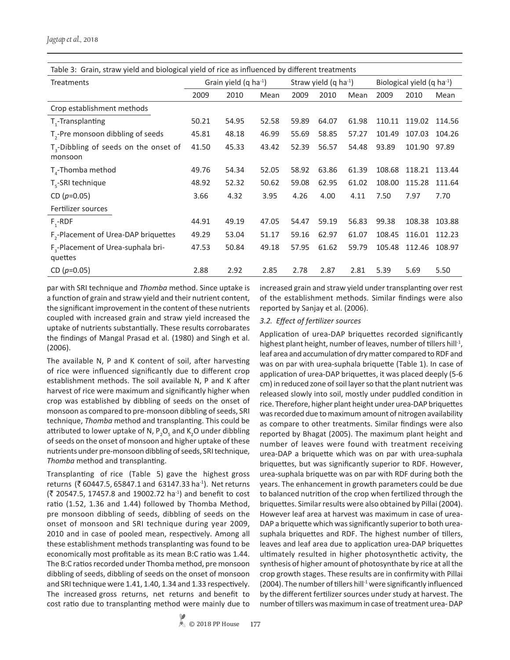Table 3: Grain, straw yield and biological yield of rice as influenced by different treatments

| <b>Treatments</b> |       |       |                                   |       |       |                                   |        |                                        |  |  |  |  |
|-------------------|-------|-------|-----------------------------------|-------|-------|-----------------------------------|--------|----------------------------------------|--|--|--|--|
|                   |       |       |                                   |       |       |                                   |        |                                        |  |  |  |  |
| 2009              | 2010  | Mean  | 2009                              | 2010  | Mean  | 2009                              | 2010   | Mean                                   |  |  |  |  |
|                   |       |       |                                   |       |       |                                   |        |                                        |  |  |  |  |
| 50.21             | 54.95 | 52.58 | 59.89                             | 64.07 | 61.98 | 110.11                            | 119.02 | 114.56                                 |  |  |  |  |
| 45.81             | 48.18 | 46.99 | 55.69                             | 58.85 | 57.27 | 101.49                            | 107.03 | 104.26                                 |  |  |  |  |
| 41.50             | 45.33 | 43.42 | 52.39                             | 56.57 | 54.48 | 93.89                             | 101.90 | 97.89                                  |  |  |  |  |
| 49.76             | 54.34 | 52.05 | 58.92                             | 63.86 | 61.39 | 108.68                            | 118.21 | 113.44                                 |  |  |  |  |
| 48.92             | 52.32 | 50.62 | 59.08                             | 62.95 | 61.02 | 108.00                            | 115.28 | 111.64                                 |  |  |  |  |
| 3.66              | 4.32  | 3.95  | 4.26                              | 4.00  | 4.11  | 7.50                              | 7.97   | 7.70                                   |  |  |  |  |
|                   |       |       |                                   |       |       |                                   |        |                                        |  |  |  |  |
| 44.91             | 49.19 | 47.05 | 54.47                             | 59.19 | 56.83 | 99.38                             | 108.38 | 103.88                                 |  |  |  |  |
| 49.29             | 53.04 | 51.17 | 59.16                             | 62.97 | 61.07 | 108.45                            | 116.01 | 112.23                                 |  |  |  |  |
| 47.53             | 50.84 | 49.18 | 57.95                             | 61.62 | 59.79 | 105.48                            | 112.46 | 108.97                                 |  |  |  |  |
| 2.88              | 2.92  | 2.85  | 2.78                              | 2.87  | 2.81  | 5.39                              | 5.69   | 5.50                                   |  |  |  |  |
|                   |       |       | Grain yield $(q \text{ ha}^{-1})$ |       |       | Straw yield $(q \text{ ha}^{-1})$ |        | Biological yield $(q \text{ ha}^{-1})$ |  |  |  |  |

par with SRI technique and *Thomba* method. Since uptake is a function of grain and straw yield and their nutrient content, the significant improvement in the content of these nutrients coupled with increased grain and straw yield increased the uptake of nutrients substantially. These results corrobarates the findings of Mangal Prasad et al. (1980) and Singh et al. (2006).

The available N, P and K content of soil, after harvesting of rice were influenced significantly due to different crop establishment methods. The soil available N, P and K after harvest of rice were maximum and significantly higher when crop was established by dibbling of seeds on the onset of monsoon as compared to pre-monsoon dibbling of seeds, SRI technique, *Thomba* method and transplanting. This could be attributed to lower uptake of N,  $P_2O_5$  and K<sub>2</sub>O under dibbling of seeds on the onset of monsoon and higher uptake of these nutrients under pre-monsoon dibbling of seeds, SRI technique, *Thomba* method and transplanting.

Transplanting of rice (Table 5) gave the highest gross returns ( $\bar{z}$  60447.5, 65847.1 and 63147.33 ha<sup>-1</sup>). Net returns  $(3 \times 20547.5, 17457.8 \text{ and } 19002.72 \text{ ha}^{-1})$  and benefit to cost ratio (1.52, 1.36 and 1.44) followed by Thomba Method, pre monsoon dibbling of seeds, dibbling of seeds on the onset of monsoon and SRI technique during year 2009, 2010 and in case of pooled mean, respectively. Among all these establishment methods transplanting was found to be economically most profitable as its mean B:C ratio was 1.44. The B:C ratios recorded under Thomba method, pre monsoon dibbling of seeds, dibbling of seeds on the onset of monsoon and SRI technique were 1.41, 1.40, 1.34 and 1.33 respectively. The increased gross returns, net returns and benefit to cost ratio due to transplanting method were mainly due to

increased grain and straw yield under transplanting over rest of the establishment methods. Similar findings were also reported by Sanjay et al. (2006).

### *3.2. Effect of fertilizer sources*

Application of urea-DAP briquettes recorded significantly highest plant height, number of leaves, number of tillers hill<sup>-1</sup>, leaf area and accumulation of dry matter compared to RDF and was on par with urea-suphala briquette (Table 1). In case of application of urea-DAP briquettes, it was placed deeply (5-6 cm) in reduced zone of soil layer so that the plant nutrient was released slowly into soil, mostly under puddled condition in rice. Therefore, higher plant height under urea-DAP briquettes was recorded due to maximum amount of nitrogen availability as compare to other treatments. Similar findings were also reported by Bhagat (2005). The maximum plant height and number of leaves were found with treatment receiving urea-DAP a briquette which was on par with urea-suphala briquettes, but was significantly superior to RDF. However, urea-suphala briquette was on par with RDF during both the years. The enhancement in growth parameters could be due to balanced nutrition of the crop when fertilized through the briquettes. Similar results were also obtained by Pillai (2004). However leaf area at harvest was maximum in case of urea-DAP a briquette which was significantly superior to both ureasuphala briquettes and RDF. The highest number of tillers, leaves and leaf area due to application urea-DAP briquettes ultimately resulted in higher photosynthetic activity, the synthesis of higher amount of photosynthate by rice at all the crop growth stages. These results are in confirmity with Pillai (2004). The number of tillers hill<sup>-1</sup> were significantly influenced by the different fertilizer sources under study at harvest. The number of tillers was maximum in case of treatment urea- DAP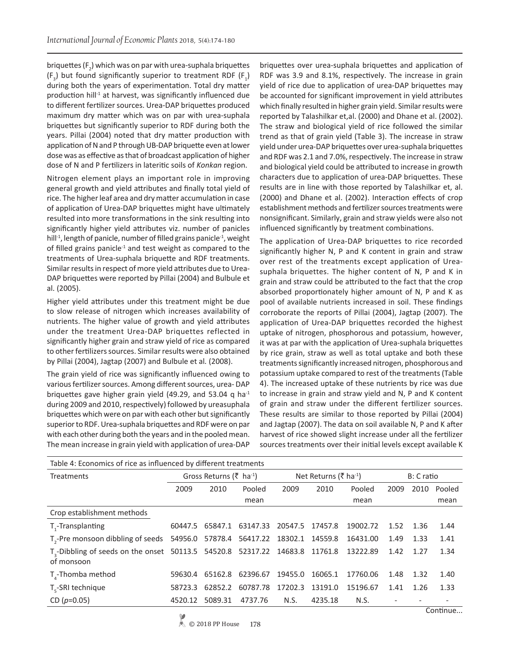briquettes (F<sub>2</sub>) which was on par with urea-suphala briquettes  $(F_3)$  but found significantly superior to treatment RDF  $(F_1)$ during both the years of experimentation. Total dry matter production hill<sup>-1</sup> at harvest, was significantly influenced due to different fertilizer sources. Urea-DAP briquettes produced maximum dry matter which was on par with urea-suphala briquettes but significantly superior to RDF during both the years. Pillai (2004) noted that dry matter production with application of N and P through UB-DAP briquette even at lower dose was as effective as that of broadcast application of higher dose of N and P fertilizers in lateritic soils of *Konkan* region.

Nitrogen element plays an important role in improving general growth and yield attributes and finally total yield of rice. The higher leaf area and dry matter accumulation in case of application of Urea-DAP briquettes might have ultimately resulted into more transformations in the sink resulting into significantly higher yield attributes viz. number of panicles hill<sup>-1</sup>, length of panicle, number of filled grains panicle<sup>-1</sup>, weight of filled grains panicle<sup>-1</sup> and test weight as compared to the treatments of Urea-suphala briquette and RDF treatments. Similar results in respect of more yield attributes due to Urea-DAP briquettes were reported by Pillai (2004) and Bulbule et al. (2005).

Higher yield attributes under this treatment might be due to slow release of nitrogen which increases availability of nutrients. The higher value of growth and yield attributes under the treatment Urea-DAP briquettes reflected in significantly higher grain and straw yield of rice as compared to other fertilizers sources. Similar results were also obtained by Pillai (2004), Jagtap (2007) and Bulbule et al*.* (2008).

The grain yield of rice was significantly influenced owing to various fertilizer sources. Among different sources, urea- DAP briquettes gave higher grain yield (49.29, and 53.04 q ha<sup>-1</sup> during 2009 and 2010, respectively) followed by ureasuphala briquettes which were on par with each other but significantly superior to RDF. Urea-suphala briquettes and RDF were on par with each other during both the years and in the pooled mean. The mean increase in grain yield with application of urea-DAP

briquettes over urea-suphala briquettes and application of RDF was 3.9 and 8.1%, respectively. The increase in grain yield of rice due to application of urea-DAP briquettes may be accounted for significant improvement in yield attributes which finally resulted in higher grain yield. Similar results were reported by Talashilkar et,al. (2000) and Dhane et al. (2002). The straw and biological yield of rice followed the similar trend as that of grain yield (Table 3). The increase in straw yield under urea-DAP briquettes over urea-suphala briquettes and RDF was 2.1 and 7.0%, respectively. The increase in straw and biological yield could be attributed to increase in growth characters due to application of urea-DAP briquettes. These results are in line with those reported by Talashilkar et, al. (2000) and Dhane et al. (2002). Interaction effects of crop establishment methods and fertilizer sources treatments were nonsignificant. Similarly, grain and straw yields were also not influenced significantly by treatment combinations.

The application of Urea-DAP briquettes to rice recorded significantly higher N, P and K content in grain and straw over rest of the treatments except application of Ureasuphala briquettes. The higher content of N, P and K in grain and straw could be attributed to the fact that the crop absorbed proportionately higher amount of N, P and K as pool of available nutrients increased in soil. These findings corroborate the reports of Pillai (2004), Jagtap (2007). The application of Urea-DAP briquettes recorded the highest uptake of nitrogen, phosphorous and potassium, however, it was at par with the application of Urea-suphala briquettes by rice grain, straw as well as total uptake and both these treatments significantly increased nitrogen, phosphorous and potassium uptake compared to rest of the treatments (Table 4). The increased uptake of these nutrients by rice was due to increase in grain and straw yield and N, P and K content of grain and straw under the different fertilizer sources. These results are similar to those reported by Pillai (2004) and Jagtap (2007). The data on soil available N, P and K after harvest of rice showed slight increase under all the fertilizer sources treatments over their initial levels except available K

| Table 4: Economics of rice as influenced by different treatments                                      |                                                |                |                  |                                   |            |          |      |        |         |  |  |  |
|-------------------------------------------------------------------------------------------------------|------------------------------------------------|----------------|------------------|-----------------------------------|------------|----------|------|--------|---------|--|--|--|
| Treatments                                                                                            | Gross Returns ( $\bar{\xi}$ ha <sup>-1</sup> ) |                |                  | Net Returns (₹ ha <sup>-1</sup> ) | B: C ratio |          |      |        |         |  |  |  |
|                                                                                                       | 2009                                           | 2010<br>Pooled |                  | 2009                              | 2010       | Pooled   | 2009 | 2010   | Pooled  |  |  |  |
|                                                                                                       |                                                |                | mean             |                                   |            | mean     |      |        | mean    |  |  |  |
| Crop establishment methods                                                                            |                                                |                |                  |                                   |            |          |      |        |         |  |  |  |
| T <sub>1</sub> -Transplanting                                                                         | 60447.5                                        | 65847.1        | 63147.33         | 20547.5                           | 17457.8    | 19002.72 | 1.52 | 1.36   | 1.44    |  |  |  |
| T <sub>2</sub> -Pre monsoon dibbling of seeds 54956.0 57878.4 56417.22 18302.1 14559.8                |                                                |                |                  |                                   |            | 16431.00 | 1.49 | 1.33   | 1.41    |  |  |  |
| T <sub>3</sub> -Dibbling of seeds on the onset 50113.5 54520.8 52317.22 14683.8 11761.8<br>of monsoon |                                                |                |                  |                                   |            | 13222.89 | 1.42 | 1.27   | 1.34    |  |  |  |
| T <sub>4</sub> -Thomba method                                                                         | 59630.4                                        |                | 65162.8 62396.67 | 19455.0                           | 16065.1    | 17760.06 | 1.48 | 1.32   | 1.40    |  |  |  |
| $T_c$ -SRI technique                                                                                  | 58723.3                                        | 62852.2        | 60787.78         | 17202.3                           | 13191.0    | 15196.67 | 1.41 | 1.26   | 1.33    |  |  |  |
| CD $(p=0.05)$                                                                                         | 4520.12                                        | 5089.31        | 4737.76          | N.S.                              | 4235.18    | N.S.     |      | $\sim$ | $\cdot$ |  |  |  |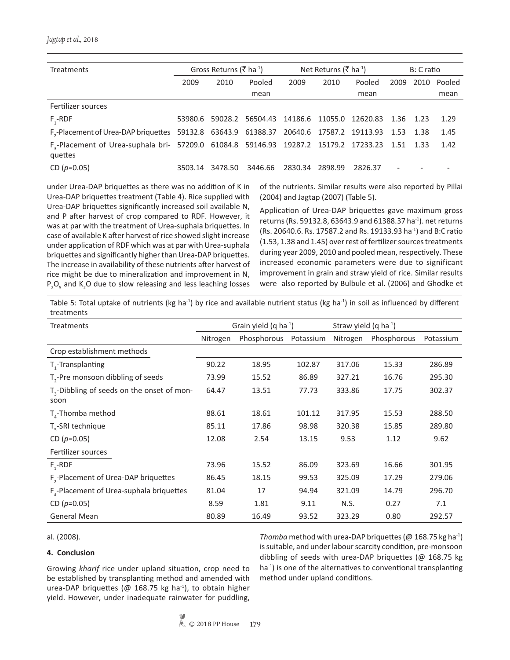| <b>Treatments</b>                                                                                                     | Gross Returns ( $\bar{\zeta}$ ha <sup>-1</sup> ) |         |                  | Net Returns (₹ ha <sup>-1</sup> ) | B: C ratio |          |           |      |        |
|-----------------------------------------------------------------------------------------------------------------------|--------------------------------------------------|---------|------------------|-----------------------------------|------------|----------|-----------|------|--------|
|                                                                                                                       | 2009                                             | 2010    | Pooled           | 2009                              | 2010       | Pooled   | 2009      | 2010 | Pooled |
|                                                                                                                       |                                                  |         | mean             |                                   |            | mean     |           |      | mean   |
| Fertilizer sources                                                                                                    |                                                  |         |                  |                                   |            |          |           |      |        |
| $F - RDF$                                                                                                             | 53980.6                                          |         | 59028.2 56504.43 | 14186.6 11055.0                   |            | 12620.83 | 1.36 1.23 |      | 1.29   |
| F <sub>,</sub> -Placement of Urea-DAP briquettes 59132.8 63643.9 61388.37 20640.6 17587.2 19113.93                    |                                                  |         |                  |                                   |            |          | 1.53 1.38 |      | 1.45   |
| F <sub>3</sub> -Placement of Urea-suphala bri- 57209.0 61084.8 59146.93 19287.2 15179.2 17233.23 1.51 1.33<br>quettes |                                                  |         |                  |                                   |            |          |           |      | 1.42   |
| CD $(p=0.05)$                                                                                                         | 3503.14                                          | 3478.50 | 3446.66          | 2830.34                           | 2898.99    | 2826.37  |           |      |        |

under Urea-DAP briquettes as there was no addition of K in Urea-DAP briquettes treatment (Table 4). Rice supplied with Urea-DAP briquettes significantly increased soil available N, and P after harvest of crop compared to RDF. However, it was at par with the treatment of Urea-suphala briquettes. In case of available K after harvest of rice showed slight increase under application of RDF which was at par with Urea-suphala briquettes and significantly higher than Urea-DAP briquettes. The increase in availability of these nutrients after harvest of rice might be due to mineralization and improvement in N,  $P_2O_5$  and K<sub>2</sub>O due to slow releasing and less leaching losses

of the nutrients. Similar results were also reported by Pillai (2004) and Jagtap (2007) (Table 5).

Application of Urea-DAP briquettes gave maximum gross returns (Rs. 59132.8, 63643.9 and 61388.37 ha<sup>-1</sup>). net returns (Rs. 20640.6. Rs. 17587.2 and Rs. 19133.93 ha-1) and B:C ratio (1.53, 1.38 and 1.45) over rest of fertilizer sources treatments during year 2009, 2010 and pooled mean, respectively. These increased economic parameters were due to significant improvement in grain and straw yield of rice. Similar results were also reported by Bulbule et al. (2006) and Ghodke et

Table 5: Total uptake of nutrients (kg ha<sup>-1</sup>) by rice and available nutrient status (kg ha<sup>-1</sup>) in soil as influenced by different treatments

| Treatments                                              |          | Grain yield $(q \text{ ha}^{-1})$ |           | Straw yield $(q \text{ ha}^{-1})$ |             |           |
|---------------------------------------------------------|----------|-----------------------------------|-----------|-----------------------------------|-------------|-----------|
|                                                         | Nitrogen | Phosphorous                       | Potassium | Nitrogen                          | Phosphorous | Potassium |
| Crop establishment methods                              |          |                                   |           |                                   |             |           |
| T <sub>1</sub> -Transplanting                           | 90.22    | 18.95                             | 102.87    | 317.06                            | 15.33       | 286.89    |
| $T_{2}$ -Pre monsoon dibbling of seeds                  | 73.99    | 15.52                             | 86.89     | 327.21                            | 16.76       | 295.30    |
| $T_{3}$ -Dibbling of seeds on the onset of mon-<br>soon | 64.47    | 13.51                             | 77.73     | 333.86                            | 17.75       | 302.37    |
| $T_{a}$ -Thomba method                                  | 88.61    | 18.61                             | 101.12    | 317.95                            | 15.53       | 288.50    |
| $T_c$ -SRI technique                                    | 85.11    | 17.86                             | 98.98     | 320.38                            | 15.85       | 289.80    |
| CD $(p=0.05)$                                           | 12.08    | 2.54                              | 13.15     | 9.53                              | 1.12        | 9.62      |
| Fertilizer sources                                      |          |                                   |           |                                   |             |           |
| $F_1$ -RDF                                              | 73.96    | 15.52                             | 86.09     | 323.69                            | 16.66       | 301.95    |
| F <sub>2</sub> -Placement of Urea-DAP briquettes        | 86.45    | 18.15                             | 99.53     | 325.09                            | 17.29       | 279.06    |
| F <sub>2</sub> -Placement of Urea-suphala briquettes    | 81.04    | 17                                | 94.94     | 321.09                            | 14.79       | 296.70    |
| CD $(p=0.05)$                                           | 8.59     | 1.81                              | 9.11      | N.S.                              | 0.27        | 7.1       |
| <b>General Mean</b>                                     | 80.89    | 16.49                             | 93.52     | 323.29                            | 0.80        | 292.57    |

al. (2008).

### **4. Conclusion**

Growing *kharif* rice under upland situation, crop need to be established by transplanting method and amended with urea-DAP briquettes (@ 168.75 kg ha<sup>-1</sup>), to obtain higher yield. However, under inadequate rainwater for puddling,

*Thomba* method with urea-DAP briquettes (@ 168.75 kg ha-1) is suitable, and under labour scarcity condition, pre-monsoon dibbling of seeds with urea-DAP briquettes (@ 168.75 kg ha<sup>-1</sup>) is one of the alternatives to conventional transplanting method under upland conditions.